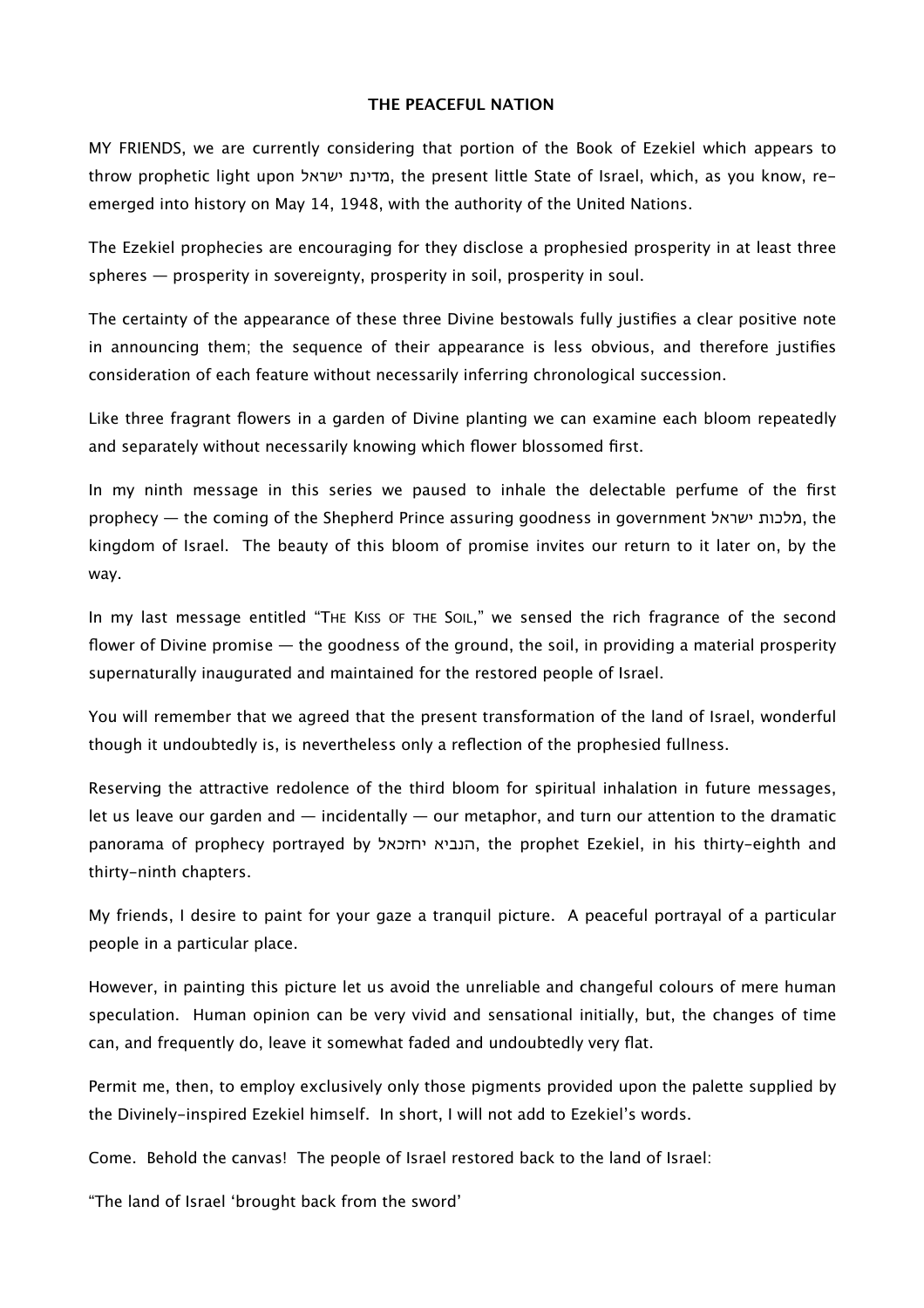## **THE PEACEFUL NATION**

MY FRIENDS, we are currently considering that portion of the Book of Ezekiel which appears to throw prophetic light upon ישראל מדינת, the present little State of Israel, which, as you know, reemerged into history on May 14, 1948, with the authority of the United Nations.

The Ezekiel prophecies are encouraging for they disclose a prophesied prosperity in at least three spheres — prosperity in sovereignty, prosperity in soil, prosperity in soul.

The certainty of the appearance of these three Divine bestowals fully justifies a clear positive note in announcing them; the sequence of their appearance is less obvious, and therefore justifies consideration of each feature without necessarily inferring chronological succession.

Like three fragrant flowers in a garden of Divine planting we can examine each bloom repeatedly and separately without necessarily knowing which flower blossomed first.

In my ninth message in this series we paused to inhale the delectable perfume of the first prophecy — the coming of the Shepherd Prince assuring goodness in government ישראל מלכות, the kingdom of Israel. The beauty of this bloom of promise invites our return to it later on, by the way.

In my last message entitled "THE KISS OF THE SOIL," we sensed the rich fragrance of the second flower of Divine promise — the goodness of the ground, the soil, in providing a material prosperity supernaturally inaugurated and maintained for the restored people of Israel.

You will remember that we agreed that the present transformation of the land of Israel, wonderful though it undoubtedly is, is nevertheless only a reflection of the prophesied fullness.

Reserving the attractive redolence of the third bloom for spiritual inhalation in future messages, let us leave our garden and  $-$  incidentally  $-$  our metaphor, and turn our attention to the dramatic panorama of prophecy portrayed by יחזכאל הנביא, the prophet Ezekiel, in his thirty-eighth and thirty-ninth chapters.

My friends, I desire to paint for your gaze a tranquil picture. A peaceful portrayal of a particular people in a particular place.

However, in painting this picture let us avoid the unreliable and changeful colours of mere human speculation. Human opinion can be very vivid and sensational initially, but, the changes of time can, and frequently do, leave it somewhat faded and undoubtedly very flat.

Permit me, then, to employ exclusively only those pigments provided upon the palette supplied by the Divinely-inspired Ezekiel himself. In short, I will not add to Ezekiel's words.

Come. Behold the canvas! The people of Israel restored back to the land of Israel:

"The land of Israel 'brought back from the sword'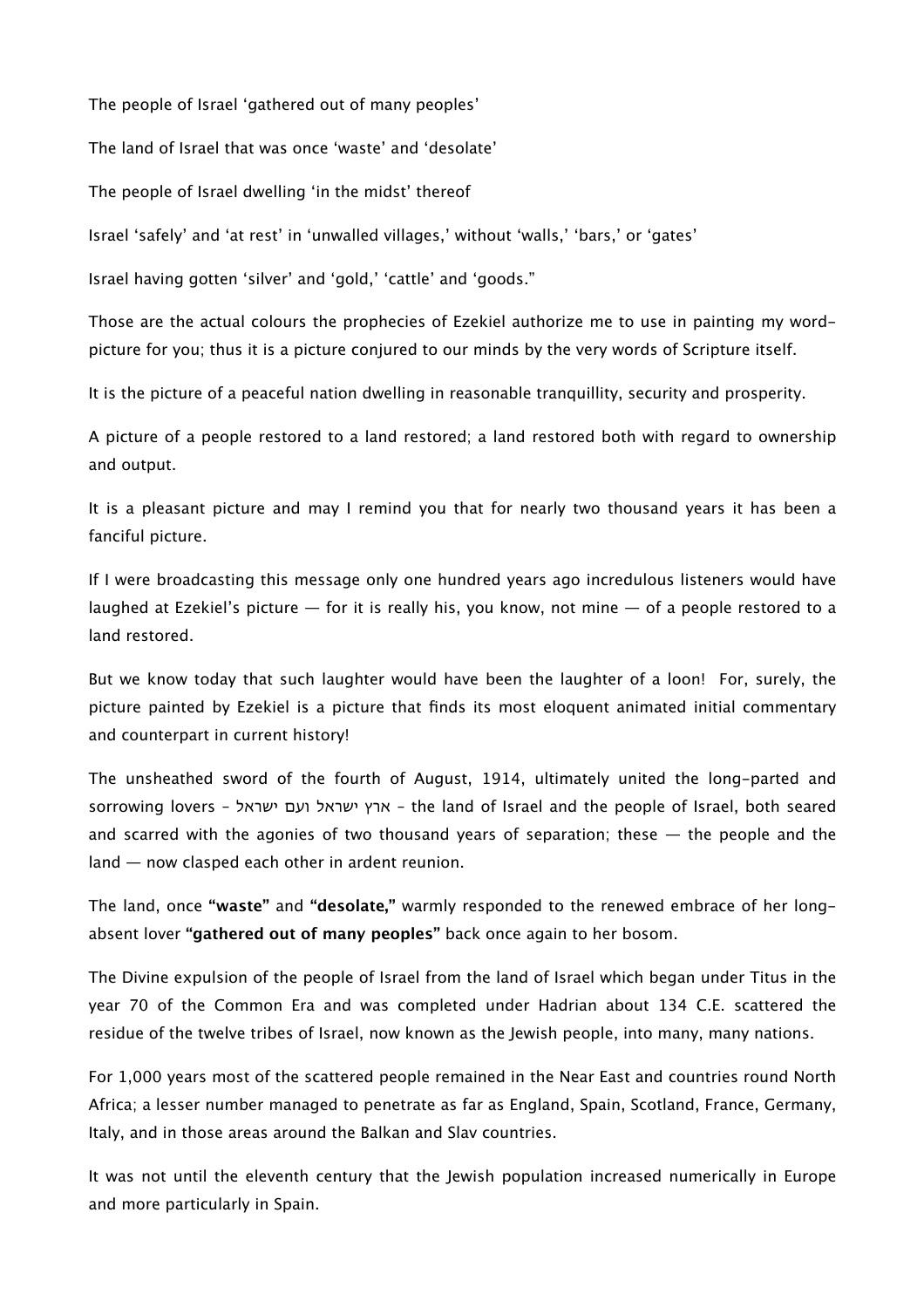The people of Israel 'gathered out of many peoples'

The land of Israel that was once 'waste' and 'desolate'

The people of Israel dwelling 'in the midst' thereof

Israel 'safely' and 'at rest' in 'unwalled villages,' without 'walls,' 'bars,' or 'gates'

Israel having gotten 'silver' and 'gold,' 'cattle' and 'goods."

Those are the actual colours the prophecies of Ezekiel authorize me to use in painting my wordpicture for you; thus it is a picture conjured to our minds by the very words of Scripture itself.

It is the picture of a peaceful nation dwelling in reasonable tranquillity, security and prosperity.

A picture of a people restored to a land restored; a land restored both with regard to ownership and output.

It is a pleasant picture and may I remind you that for nearly two thousand years it has been a fanciful picture.

If I were broadcasting this message only one hundred years ago incredulous listeners would have laughed at Ezekiel's picture  $-$  for it is really his, you know, not mine  $-$  of a people restored to a land restored.

But we know today that such laughter would have been the laughter of a loon! For, surely, the picture painted by Ezekiel is a picture that finds its most eloquent animated initial commentary and counterpart in current history!

The unsheathed sword of the fourth of August, 1914, ultimately united the long-parted and sorrowing lovers – ישראל ועם ישראל ארץ – the land of Israel and the people of Israel, both seared and scarred with the agonies of two thousand years of separation; these  $-$  the people and the land — now clasped each other in ardent reunion.

The land, once **"waste"** and **"desolate,"** warmly responded to the renewed embrace of her longabsent lover **"gathered out of many peoples"** back once again to her bosom.

The Divine expulsion of the people of Israel from the land of Israel which began under Titus in the year 70 of the Common Era and was completed under Hadrian about 134 C.E. scattered the residue of the twelve tribes of Israel, now known as the Jewish people, into many, many nations.

For 1,000 years most of the scattered people remained in the Near East and countries round North Africa; a lesser number managed to penetrate as far as England, Spain, Scotland, France, Germany, Italy, and in those areas around the Balkan and Slav countries.

It was not until the eleventh century that the Jewish population increased numerically in Europe and more particularly in Spain.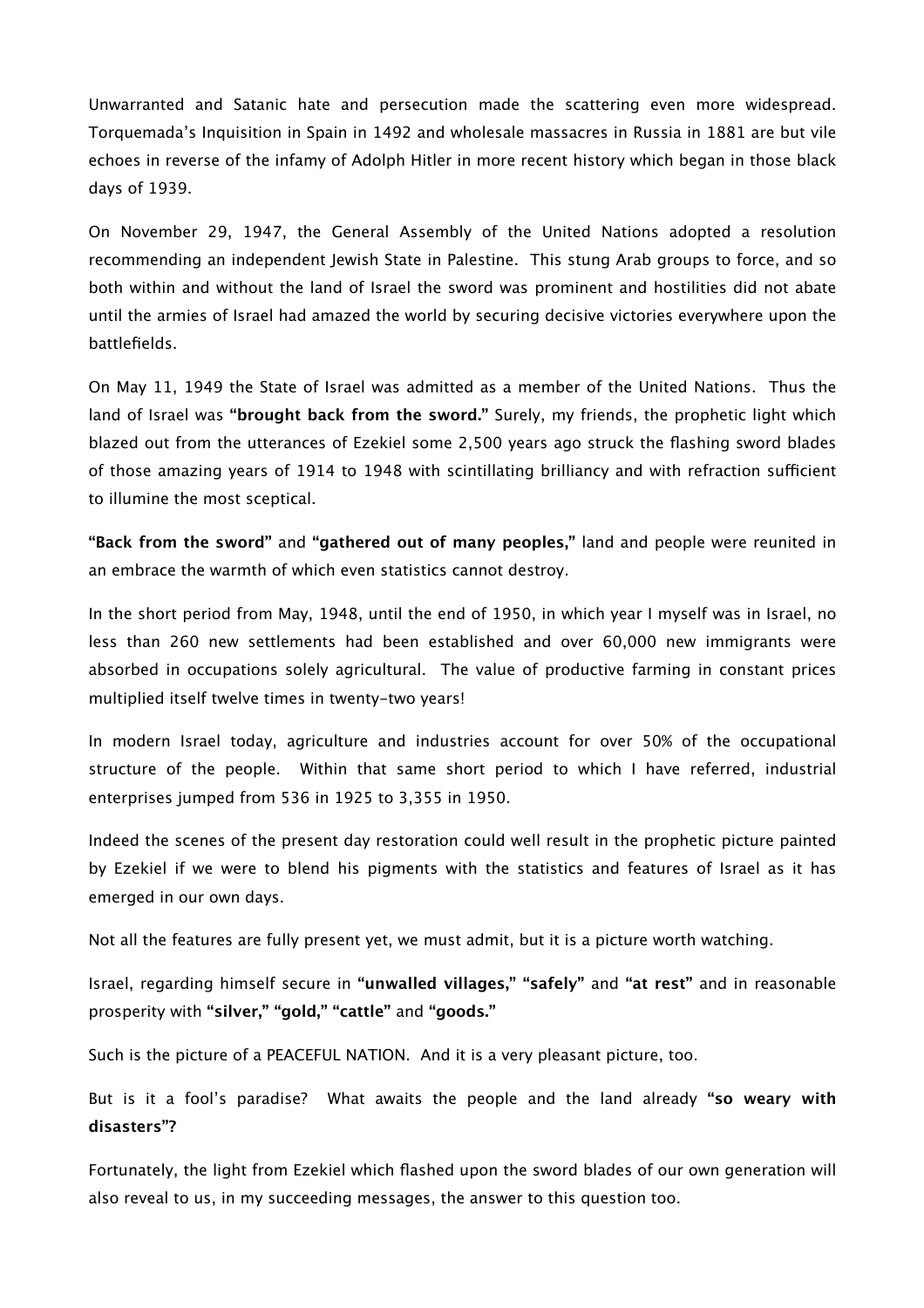Unwarranted and Satanic hate and persecution made the scattering even more widespread. Torquemada's Inquisition in Spain in 1492 and wholesale massacres in Russia in 1881 are but vile echoes in reverse of the infamy of Adolph Hitler in more recent history which began in those black days of 1939.

On November 29, 1947, the General Assembly of the United Nations adopted a resolution recommending an independent Jewish State in Palestine. This stung Arab groups to force, and so both within and without the land of Israel the sword was prominent and hostilities did not abate until the armies of Israel had amazed the world by securing decisive victories everywhere upon the battlefields.

On May 11, 1949 the State of Israel was admitted as a member of the United Nations. Thus the land of Israel was **"brought back from the sword."** Surely, my friends, the prophetic light which blazed out from the utterances of Ezekiel some 2,500 years ago struck the flashing sword blades of those amazing years of 1914 to 1948 with scintillating brilliancy and with refraction sufficient to illumine the most sceptical.

**"Back from the sword"** and **"gathered out of many peoples,"** land and people were reunited in an embrace the warmth of which even statistics cannot destroy.

In the short period from May, 1948, until the end of 1950, in which year I myself was in Israel, no less than 260 new settlements had been established and over 60,000 new immigrants were absorbed in occupations solely agricultural. The value of productive farming in constant prices multiplied itself twelve times in twenty-two years!

In modern Israel today, agriculture and industries account for over 50% of the occupational structure of the people. Within that same short period to which I have referred, industrial enterprises jumped from 536 in 1925 to 3,355 in 1950.

Indeed the scenes of the present day restoration could well result in the prophetic picture painted by Ezekiel if we were to blend his pigments with the statistics and features of Israel as it has emerged in our own days.

Not all the features are fully present yet, we must admit, but it is a picture worth watching.

Israel, regarding himself secure in **"unwalled villages," "safely"** and **"at rest"** and in reasonable prosperity with **"silver," "gold," "cattle"** and **"goods."**

Such is the picture of a PEACEFUL NATION. And it is a very pleasant picture, too.

But is it a fool's paradise? What awaits the people and the land already **"so weary with disasters"?**

Fortunately, the light from Ezekiel which flashed upon the sword blades of our own generation will also reveal to us, in my succeeding messages, the answer to this question too.